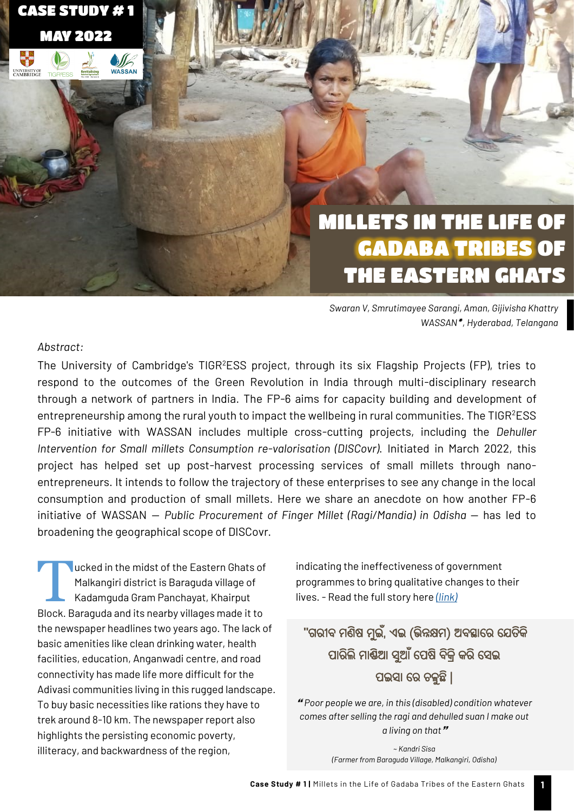MILLETS IN THE LIFE OF GADABA TRIBES OF THE EASTERN GHATS

*Swaran V, Smrutimayee Sarangi, Aman, Gijivisha Khattry WASSAN , Hyderabad, Telangana*

#### *Abstract:*

CASE STUDY # 1

MAY 2022

 $\bigcirc$ WASSAN

紫<mark>紫</mark><br>柳野

UNIVERSITY OF<br>CAMBRIDGE

The University of Cambridge's TIGR<sup>2</sup>ESS project, through its six Flagship Projects (FP), tries to respond to the outcomes of the Green Revolution in India through multi-disciplinary research through a network of partners in India. The FP-6 aims for capacity building and development of entrepreneurship among the rural youth to impact the wellbeing in rural communities. The TIGR<sup>2</sup>ESS FP-6 initiative with WASSAN includes multiple cross-cutting projects, including the *Dehuller Intervention for Small millets Consumption re-valorisation (DISCovr)*. Initiated in March 2022, this project has helped set up post-harvest processing services of small millets through nanoentrepreneurs. It intends to follow the trajectory of these enterprises to see any change in the local consumption and production of small millets. Here we share an anecdote on how another FP-6 initiative of WASSAN — *Public Procurement of Finger Millet (Ragi/Mandia) in Odisha* — has led to broadening the geographical scope of DISCovr.

T ucked in the midst of the Eastern Ghats of Malkangiri district is Baraguda village of Kadamguda Gram Panchayat, Khairput Block. Baraguda and its nearby villages made it to the newspaper headlines two years ago. The lack of basic amenities like clean drinking water, health facilities, education, Anganwadi centre, and road connectivity has made life more difficult for the Adivasi communities living in this rugged landscape. To buy basic necessities like rations they have to trek around 8-10 km. The newspaper report also highlights the persisting economic poverty, illiteracy, and backwardness of the region,

indicating the ineffectiveness of government programmes to bring qualitative changes to their lives. - Read the full story here *[\(link\)](https://www.newindianexpress.com/states/odisha/2020/feb/07/people-have-no-access-to-basic-necessities-in-odishas-khairput-block-2100032.html)*

# **"**ଗରୀବ ମଣିଷ ମଇୁ ,ଁ ଏଇ (ଭିନ୍ନକ୍ଷମ) ଅବସ୍ଥାରର ରେତକି ି ପାରଲିି ମାଣ୍ଡିଆ ସୁଆ ଁରପଷି ବକ୍ରିି କର ିରସଇ ପଇସା ରର ଚଳୁଛ ି|

 *Poor people we are, in this (disabled) condition whatever comes after selling the ragi and dehulled suan I make out a living on that*

> *~ Kandri Sisa (Farmer from Baraguda Village, Malkangiri, Odisha)*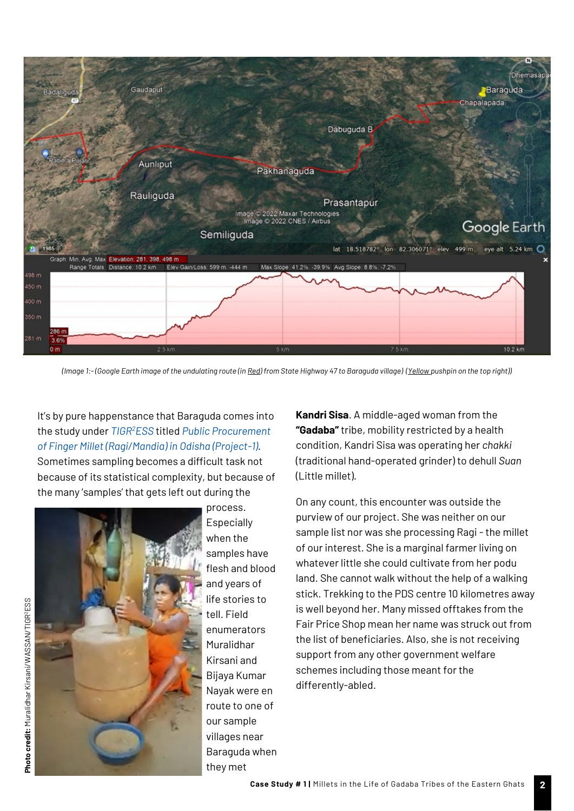

*(Image 1:-(Google Earth image of the undulating route (in Red) from State Highway 47 to Baraguda village) (Yellow pushpin on the top right))*

# It's by pure happenstance that Baraguda comes into the study under *[TIGR](https://tigr2ess.globalfood.cam.ac.uk/)<sup>2</sup>ESS* titled *[Public Procurement](https://www.wassan.org/what-we-do/#ongoingprograms)  [of Finger Millet \(Ragi/Mandia\) in Odisha \(Project](https://www.wassan.org/what-we-do/#ongoingprograms)-1)*.

Sometimes sampling becomes a difficult task not because of its statistical complexity, but because of the many 'samples' that gets left out during the



process. **Especially** when the samples have flesh and blood and years of life stories to tell. Field enumerators Muralidhar Kirsani and Bijaya Kumar Nayak were en route to one of our sample villages near Baraguda when they met

**Kandri Sisa**. A middle-aged woman from the **"Gadaba"** tribe, mobility restricted by a health condition, Kandri Sisa was operating her *chakki*  (traditional hand-operated grinder) to dehull *Suan*  (Little millet).

On any count, this encounter was outside the purview of our project. She was neither on our sample list nor was she processing Ragi - the millet of our interest. She is a marginal farmer living on whatever little she could cultivate from her podu land. She cannot walk without the help of a walking stick. Trekking to the PDS centre 10 kilometres away is well beyond her. Many missed offtakes from the Fair Price Shop mean her name was struck out from the list of beneficiaries. Also, she is not receiving support from any other government welfare schemes including those meant for the differently-abled.